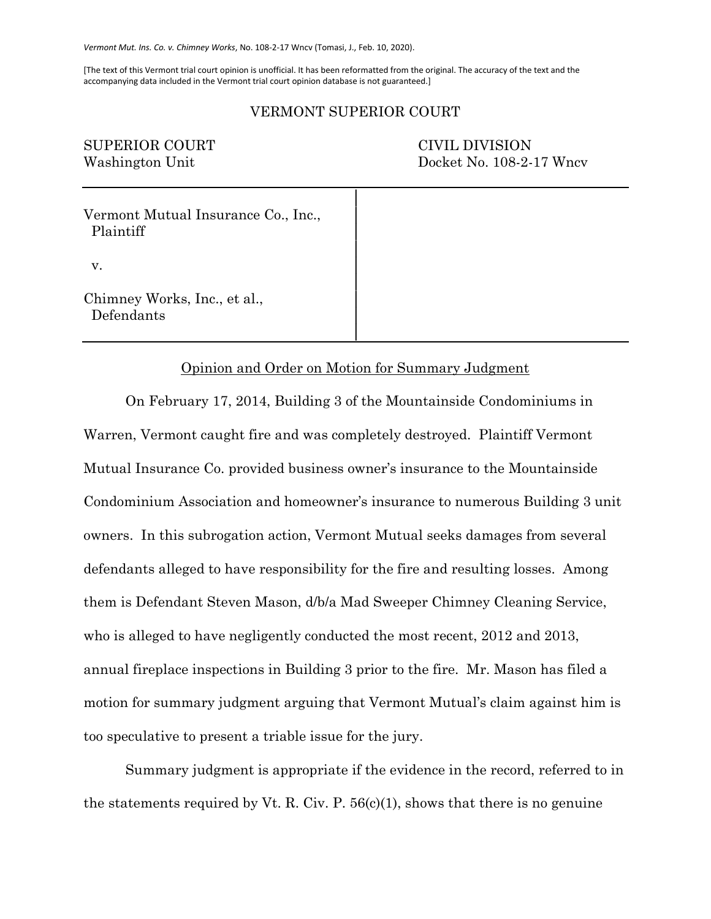*Vermont Mut. Ins. Co. v. Chimney Works*, No. 108-2-17 Wncv (Tomasi, J., Feb. 10, 2020).

[The text of this Vermont trial court opinion is unofficial. It has been reformatted from the original. The accuracy of the text and the accompanying data included in the Vermont trial court opinion database is not guaranteed.]

## VERMONT SUPERIOR COURT

│

│

│

SUPERIOR COURT CIVIL DIVISION

Washington Unit Docket No. 108-2-17 Wncv

Vermont Mutual Insurance Co., Inc., Plaintiff │

v.

Chimney Works, Inc., et al., Defendants

## Opinion and Order on Motion for Summary Judgment

│

On February 17, 2014, Building 3 of the Mountainside Condominiums in Warren, Vermont caught fire and was completely destroyed. Plaintiff Vermont Mutual Insurance Co. provided business owner's insurance to the Mountainside Condominium Association and homeowner's insurance to numerous Building 3 unit owners. In this subrogation action, Vermont Mutual seeks damages from several defendants alleged to have responsibility for the fire and resulting losses. Among them is Defendant Steven Mason, d/b/a Mad Sweeper Chimney Cleaning Service, who is alleged to have negligently conducted the most recent, 2012 and 2013, annual fireplace inspections in Building 3 prior to the fire. Mr. Mason has filed a motion for summary judgment arguing that Vermont Mutual's claim against him is too speculative to present a triable issue for the jury.

Summary judgment is appropriate if the evidence in the record, referred to in the statements required by Vt. R. Civ. P.  $56(c)(1)$ , shows that there is no genuine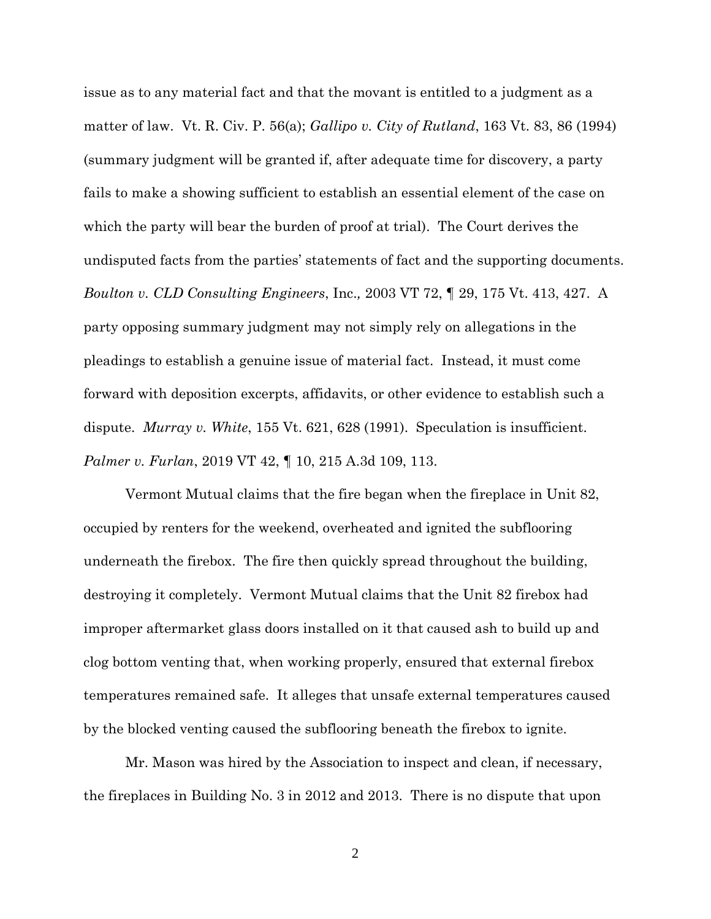issue as to any material fact and that the movant is entitled to a judgment as a matter of law. Vt. R. Civ. P. 56(a); *Gallipo v. City of Rutland*, 163 Vt. 83, 86 (1994) (summary judgment will be granted if, after adequate time for discovery, a party fails to make a showing sufficient to establish an essential element of the case on which the party will bear the burden of proof at trial). The Court derives the undisputed facts from the parties' statements of fact and the supporting documents. *Boulton v. CLD Consulting Engineers*, Inc.*,* 2003 VT 72, ¶ 29, 175 Vt. 413, 427. A party opposing summary judgment may not simply rely on allegations in the pleadings to establish a genuine issue of material fact. Instead, it must come forward with deposition excerpts, affidavits, or other evidence to establish such a dispute. *Murray v. White*, 155 Vt. 621, 628 (1991). Speculation is insufficient. *Palmer v. Furlan*, 2019 VT 42, ¶ 10, 215 A.3d 109, 113.

Vermont Mutual claims that the fire began when the fireplace in Unit 82, occupied by renters for the weekend, overheated and ignited the subflooring underneath the firebox. The fire then quickly spread throughout the building, destroying it completely. Vermont Mutual claims that the Unit 82 firebox had improper aftermarket glass doors installed on it that caused ash to build up and clog bottom venting that, when working properly, ensured that external firebox temperatures remained safe. It alleges that unsafe external temperatures caused by the blocked venting caused the subflooring beneath the firebox to ignite.

Mr. Mason was hired by the Association to inspect and clean, if necessary, the fireplaces in Building No. 3 in 2012 and 2013. There is no dispute that upon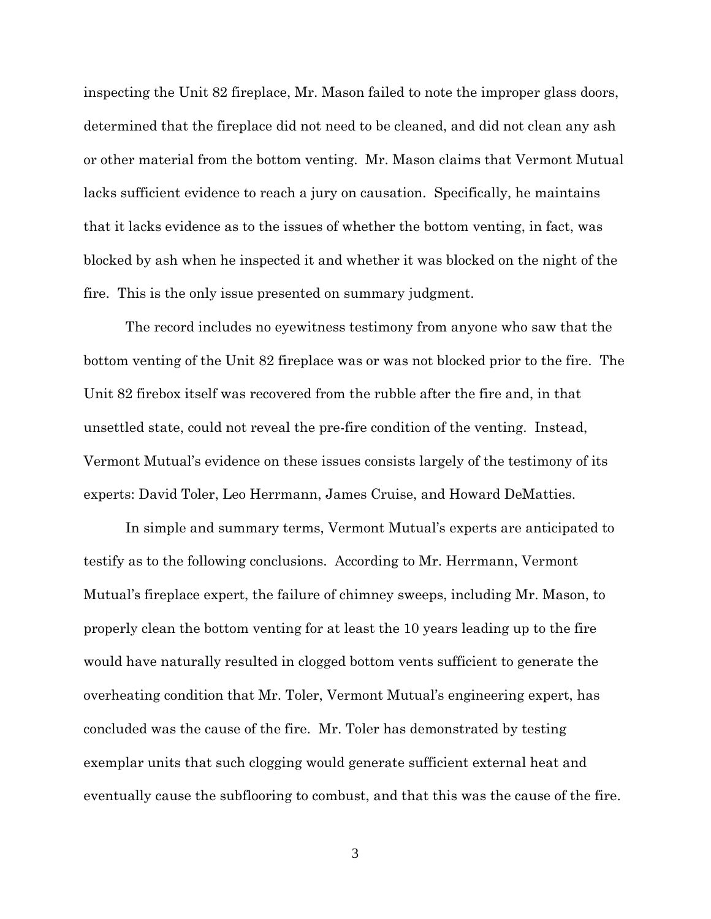inspecting the Unit 82 fireplace, Mr. Mason failed to note the improper glass doors, determined that the fireplace did not need to be cleaned, and did not clean any ash or other material from the bottom venting. Mr. Mason claims that Vermont Mutual lacks sufficient evidence to reach a jury on causation. Specifically, he maintains that it lacks evidence as to the issues of whether the bottom venting, in fact, was blocked by ash when he inspected it and whether it was blocked on the night of the fire. This is the only issue presented on summary judgment.

The record includes no eyewitness testimony from anyone who saw that the bottom venting of the Unit 82 fireplace was or was not blocked prior to the fire. The Unit 82 firebox itself was recovered from the rubble after the fire and, in that unsettled state, could not reveal the pre-fire condition of the venting. Instead, Vermont Mutual's evidence on these issues consists largely of the testimony of its experts: David Toler, Leo Herrmann, James Cruise, and Howard DeMatties.

In simple and summary terms, Vermont Mutual's experts are anticipated to testify as to the following conclusions. According to Mr. Herrmann, Vermont Mutual's fireplace expert, the failure of chimney sweeps, including Mr. Mason, to properly clean the bottom venting for at least the 10 years leading up to the fire would have naturally resulted in clogged bottom vents sufficient to generate the overheating condition that Mr. Toler, Vermont Mutual's engineering expert, has concluded was the cause of the fire. Mr. Toler has demonstrated by testing exemplar units that such clogging would generate sufficient external heat and eventually cause the subflooring to combust, and that this was the cause of the fire.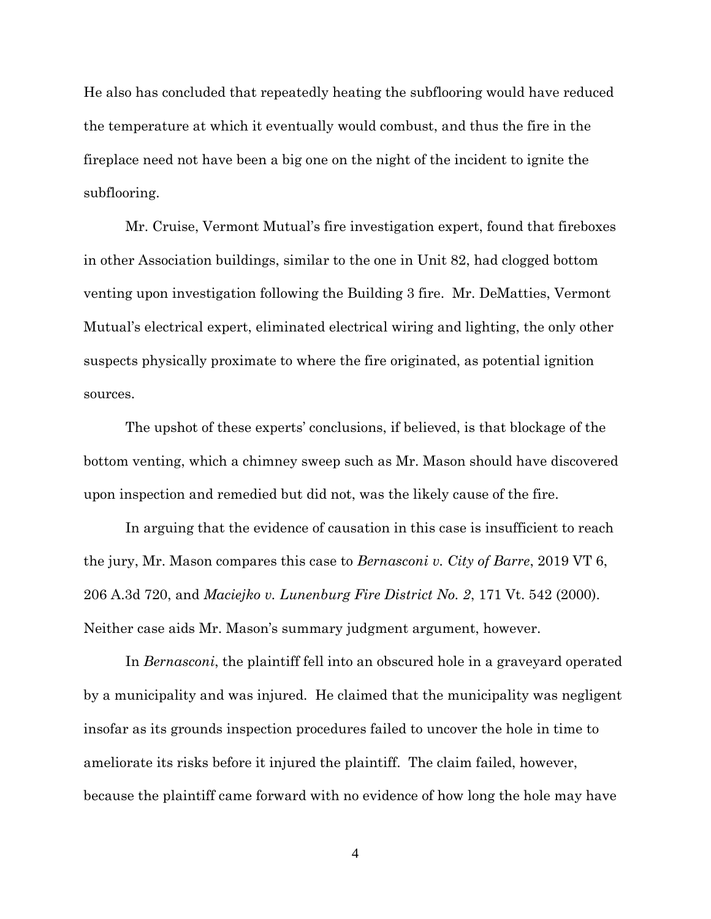He also has concluded that repeatedly heating the subflooring would have reduced the temperature at which it eventually would combust, and thus the fire in the fireplace need not have been a big one on the night of the incident to ignite the subflooring.

Mr. Cruise, Vermont Mutual's fire investigation expert, found that fireboxes in other Association buildings, similar to the one in Unit 82, had clogged bottom venting upon investigation following the Building 3 fire. Mr. DeMatties, Vermont Mutual's electrical expert, eliminated electrical wiring and lighting, the only other suspects physically proximate to where the fire originated, as potential ignition sources.

The upshot of these experts' conclusions, if believed, is that blockage of the bottom venting, which a chimney sweep such as Mr. Mason should have discovered upon inspection and remedied but did not, was the likely cause of the fire.

In arguing that the evidence of causation in this case is insufficient to reach the jury, Mr. Mason compares this case to *Bernasconi v. City of Barre*, 2019 VT 6, 206 A.3d 720, and *Maciejko v. Lunenburg Fire District No. 2*, 171 Vt. 542 (2000). Neither case aids Mr. Mason's summary judgment argument, however.

In *Bernasconi*, the plaintiff fell into an obscured hole in a graveyard operated by a municipality and was injured. He claimed that the municipality was negligent insofar as its grounds inspection procedures failed to uncover the hole in time to ameliorate its risks before it injured the plaintiff. The claim failed, however, because the plaintiff came forward with no evidence of how long the hole may have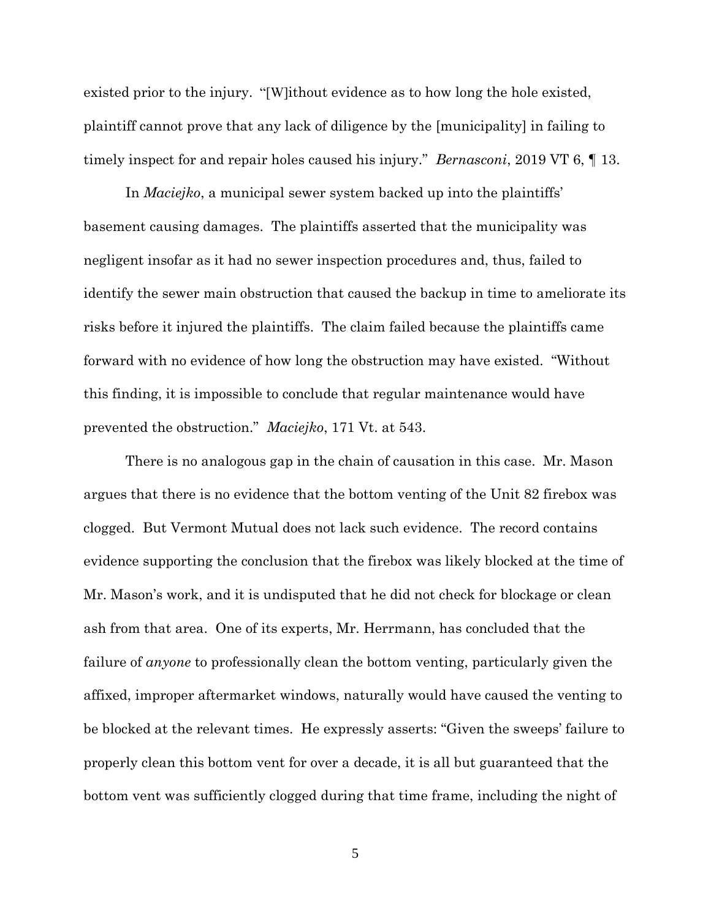existed prior to the injury. "[W]ithout evidence as to how long the hole existed, plaintiff cannot prove that any lack of diligence by the [municipality] in failing to timely inspect for and repair holes caused his injury." *Bernasconi*, 2019 VT 6, ¶ 13.

In *Maciejko*, a municipal sewer system backed up into the plaintiffs' basement causing damages. The plaintiffs asserted that the municipality was negligent insofar as it had no sewer inspection procedures and, thus, failed to identify the sewer main obstruction that caused the backup in time to ameliorate its risks before it injured the plaintiffs. The claim failed because the plaintiffs came forward with no evidence of how long the obstruction may have existed. "Without this finding, it is impossible to conclude that regular maintenance would have prevented the obstruction." *Maciejko*, 171 Vt. at 543.

There is no analogous gap in the chain of causation in this case. Mr. Mason argues that there is no evidence that the bottom venting of the Unit 82 firebox was clogged. But Vermont Mutual does not lack such evidence. The record contains evidence supporting the conclusion that the firebox was likely blocked at the time of Mr. Mason's work, and it is undisputed that he did not check for blockage or clean ash from that area. One of its experts, Mr. Herrmann, has concluded that the failure of *anyone* to professionally clean the bottom venting, particularly given the affixed, improper aftermarket windows, naturally would have caused the venting to be blocked at the relevant times. He expressly asserts: "Given the sweeps' failure to properly clean this bottom vent for over a decade, it is all but guaranteed that the bottom vent was sufficiently clogged during that time frame, including the night of